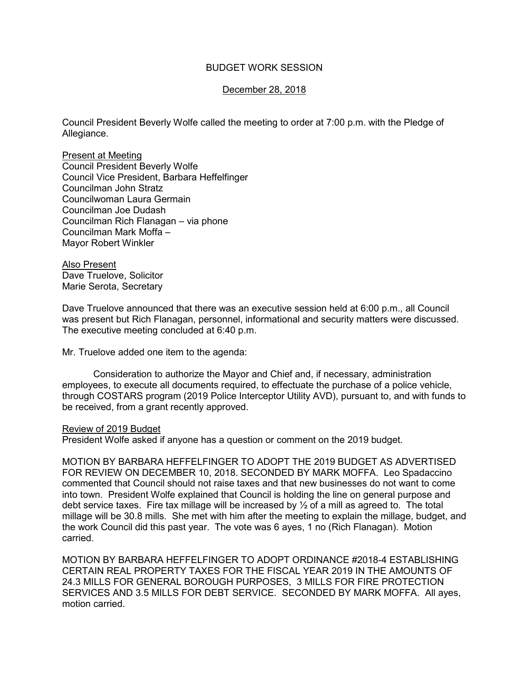## BUDGET WORK SESSION

## December 28, 2018

Council President Beverly Wolfe called the meeting to order at 7:00 p.m. with the Pledge of Allegiance.

Present at Meeting Council President Beverly Wolfe Council Vice President, Barbara Heffelfinger Councilman John Stratz Councilwoman Laura Germain Councilman Joe Dudash Councilman Rich Flanagan – via phone Councilman Mark Moffa – Mayor Robert Winkler

Also Present Dave Truelove, Solicitor Marie Serota, Secretary

Dave Truelove announced that there was an executive session held at 6:00 p.m., all Council was present but Rich Flanagan, personnel, informational and security matters were discussed. The executive meeting concluded at 6:40 p.m.

Mr. Truelove added one item to the agenda:

 Consideration to authorize the Mayor and Chief and, if necessary, administration employees, to execute all documents required, to effectuate the purchase of a police vehicle, through COSTARS program (2019 Police Interceptor Utility AVD), pursuant to, and with funds to be received, from a grant recently approved.

## Review of 2019 Budget

President Wolfe asked if anyone has a question or comment on the 2019 budget.

MOTION BY BARBARA HEFFELFINGER TO ADOPT THE 2019 BUDGET AS ADVERTISED FOR REVIEW ON DECEMBER 10, 2018. SECONDED BY MARK MOFFA. Leo Spadaccino commented that Council should not raise taxes and that new businesses do not want to come into town. President Wolfe explained that Council is holding the line on general purpose and debt service taxes. Fire tax millage will be increased by ½ of a mill as agreed to. The total millage will be 30.8 mills. She met with him after the meeting to explain the millage, budget, and the work Council did this past year. The vote was 6 ayes, 1 no (Rich Flanagan). Motion carried.

MOTION BY BARBARA HEFFELFINGER TO ADOPT ORDINANCE #2018-4 ESTABLISHING CERTAIN REAL PROPERTY TAXES FOR THE FISCAL YEAR 2019 IN THE AMOUNTS OF 24.3 MILLS FOR GENERAL BOROUGH PURPOSES, 3 MILLS FOR FIRE PROTECTION SERVICES AND 3.5 MILLS FOR DEBT SERVICE. SECONDED BY MARK MOFFA. All ayes, motion carried.